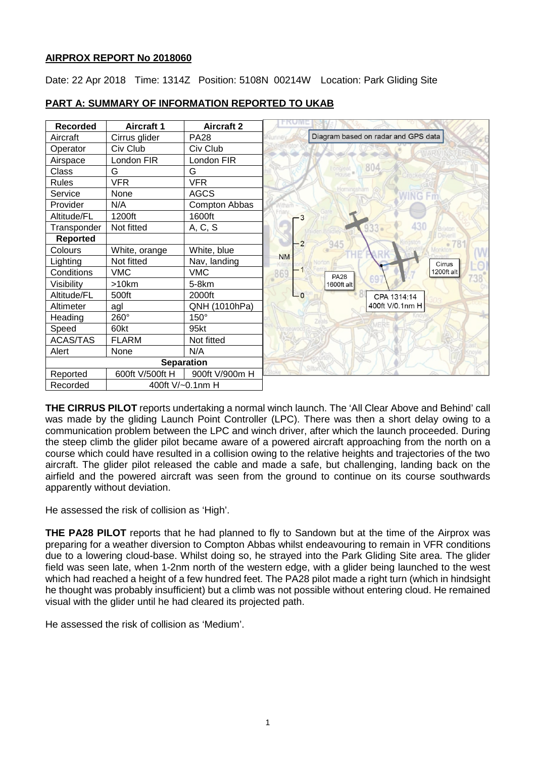# **AIRPROX REPORT No 2018060**

Date: 22 Apr 2018 Time: 1314Z Position: 5108N 00214W Location: Park Gliding Site

| <b>Recorded</b>   | <b>Aircraft 1</b> | <b>Aircraft 2</b>    |           |                                     |
|-------------------|-------------------|----------------------|-----------|-------------------------------------|
| Aircraft          | Cirrus glider     | <b>PA28</b>          |           | Diagram based on radar and GPS data |
| Operator          | Civ Club          | Civ Club             |           |                                     |
| Airspace          | London FIR        | London FIR           |           |                                     |
| Class             | G                 | G                    |           | 804                                 |
| <b>Rules</b>      | <b>VFR</b>        | <b>VFR</b>           |           |                                     |
| Service           | None              | <b>AGCS</b>          |           |                                     |
| Provider          | N/A               | <b>Compton Abbas</b> |           |                                     |
| Altitude/FL       | 1200ft            | 1600ft               |           |                                     |
| Transponder       | Not fitted        | A, C, S              |           |                                     |
| <b>Reported</b>   |                   |                      | 2         | 945                                 |
| Colours           | White, orange     | White, blue          |           |                                     |
| Lighting          | Not fitted        | Nav, landing         | <b>NM</b> | Cirrus                              |
| Conditions        | <b>VMC</b>        | <b>VMC</b>           | 869       | 1200ft alt<br><b>PA28</b>           |
| Visibility        | >10km             | 5-8km                |           | 1600ft alt                          |
| Altitude/FL       | 500ft             | 2000ft               | $-0$      | CPA 1314:14                         |
| Altimeter         | agl               | QNH (1010hPa)        |           | 400ft V/0.1nm H                     |
| Heading           | 260°              | $150^\circ$          |           |                                     |
| Speed             | 60kt              | 95kt                 |           |                                     |
| <b>ACAS/TAS</b>   | <b>FLARM</b>      | Not fitted           |           |                                     |
| Alert             | None              | N/A                  |           |                                     |
| <b>Separation</b> |                   |                      |           |                                     |
| Reported          | 600ft V/500ft H   | 900ft V/900m H       |           |                                     |
| Recorded          |                   | 400ft V/~0.1nm H     |           |                                     |

# **PART A: SUMMARY OF INFORMATION REPORTED TO UKAB**

**THE CIRRUS PILOT** reports undertaking a normal winch launch. The 'All Clear Above and Behind' call was made by the gliding Launch Point Controller (LPC). There was then a short delay owing to a communication problem between the LPC and winch driver, after which the launch proceeded. During the steep climb the glider pilot became aware of a powered aircraft approaching from the north on a course which could have resulted in a collision owing to the relative heights and trajectories of the two aircraft. The glider pilot released the cable and made a safe, but challenging, landing back on the airfield and the powered aircraft was seen from the ground to continue on its course southwards apparently without deviation.

He assessed the risk of collision as 'High'.

**THE PA28 PILOT** reports that he had planned to fly to Sandown but at the time of the Airprox was preparing for a weather diversion to Compton Abbas whilst endeavouring to remain in VFR conditions due to a lowering cloud-base. Whilst doing so, he strayed into the Park Gliding Site area. The glider field was seen late, when 1-2nm north of the western edge, with a glider being launched to the west which had reached a height of a few hundred feet. The PA28 pilot made a right turn (which in hindsight he thought was probably insufficient) but a climb was not possible without entering cloud. He remained visual with the glider until he had cleared its projected path.

He assessed the risk of collision as 'Medium'.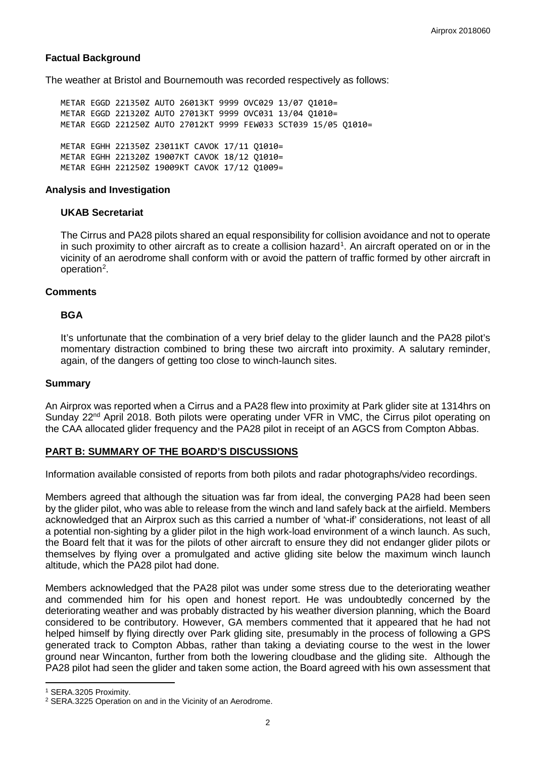## **Factual Background**

The weather at Bristol and Bournemouth was recorded respectively as follows:

METAR EGGD 221350Z AUTO 26013KT 9999 OVC029 13/07 Q1010= METAR EGGD 221320Z AUTO 27013KT 9999 OVC031 13/04 Q1010= METAR EGGD 221250Z AUTO 27012KT 9999 FEW033 SCT039 15/05 Q1010= METAR EGHH 221350Z 23011KT CAVOK 17/11 Q1010= METAR EGHH 221320Z 19007KT CAVOK 18/12 Q1010= METAR EGHH 221250Z 19009KT CAVOK 17/12 Q1009=

#### **Analysis and Investigation**

## **UKAB Secretariat**

The Cirrus and PA28 pilots shared an equal responsibility for collision avoidance and not to operate in such proximity to other aircraft as to create a collision hazard<sup>[1](#page-1-0)</sup>. An aircraft operated on or in the vicinity of an aerodrome shall conform with or avoid the pattern of traffic formed by other aircraft in operation<sup>[2](#page-1-1)</sup>.

## **Comments**

## **BGA**

It's unfortunate that the combination of a very brief delay to the glider launch and the PA28 pilot's momentary distraction combined to bring these two aircraft into proximity. A salutary reminder, again, of the dangers of getting too close to winch-launch sites.

#### **Summary**

An Airprox was reported when a Cirrus and a PA28 flew into proximity at Park glider site at 1314hrs on Sunday  $22<sup>nd</sup>$  April 2018. Both pilots were operating under VFR in VMC, the Cirrus pilot operating on the CAA allocated glider frequency and the PA28 pilot in receipt of an AGCS from Compton Abbas.

## **PART B: SUMMARY OF THE BOARD'S DISCUSSIONS**

Information available consisted of reports from both pilots and radar photographs/video recordings.

Members agreed that although the situation was far from ideal, the converging PA28 had been seen by the glider pilot, who was able to release from the winch and land safely back at the airfield. Members acknowledged that an Airprox such as this carried a number of 'what-if' considerations, not least of all a potential non-sighting by a glider pilot in the high work-load environment of a winch launch. As such, the Board felt that it was for the pilots of other aircraft to ensure they did not endanger glider pilots or themselves by flying over a promulgated and active gliding site below the maximum winch launch altitude, which the PA28 pilot had done.

Members acknowledged that the PA28 pilot was under some stress due to the deteriorating weather and commended him for his open and honest report. He was undoubtedly concerned by the deteriorating weather and was probably distracted by his weather diversion planning, which the Board considered to be contributory. However, GA members commented that it appeared that he had not helped himself by flying directly over Park gliding site, presumably in the process of following a GPS generated track to Compton Abbas, rather than taking a deviating course to the west in the lower ground near Wincanton, further from both the lowering cloudbase and the gliding site. Although the PA28 pilot had seen the glider and taken some action, the Board agreed with his own assessment that

l

<span id="page-1-0"></span><sup>1</sup> SERA.3205 Proximity.

<span id="page-1-1"></span><sup>2</sup> SERA.3225 Operation on and in the Vicinity of an Aerodrome.